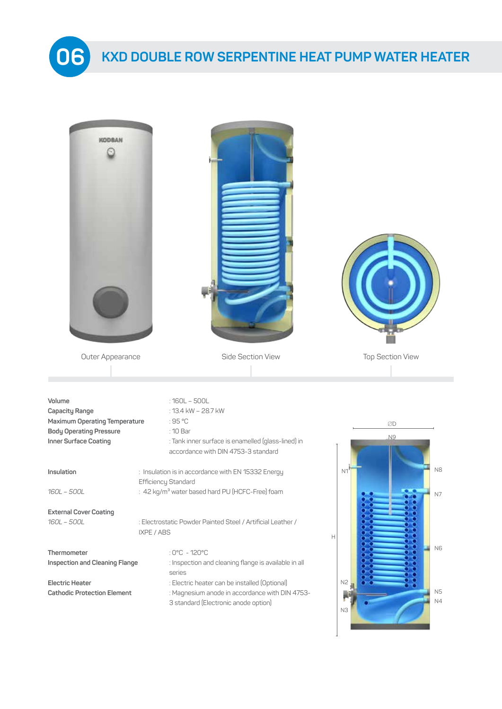

## **KXD DOUBLE ROW SERPENTINE HEAT PUMP WATER HEATER**

| <b>KODBAN</b>                                                                                                        |                                                                                                                                                                    |                                              |  |  |  |
|----------------------------------------------------------------------------------------------------------------------|--------------------------------------------------------------------------------------------------------------------------------------------------------------------|----------------------------------------------|--|--|--|
| Outer Appearance                                                                                                     | Side Section View                                                                                                                                                  | <b>Top Section View</b>                      |  |  |  |
|                                                                                                                      |                                                                                                                                                                    |                                              |  |  |  |
|                                                                                                                      |                                                                                                                                                                    |                                              |  |  |  |
| Volume<br>Capacity Range<br>Maximum Operating Temperature<br><b>Body Operating Pressure</b><br>Inner Surface Coating | $:160L - 500L$<br>: 13.4 kW - 28.7 kW<br>: $95^{\circ}$ C<br>: 10 Bar<br>: Tank inner surface is enamelled (glass-lined) in<br>accordance with DIN 4753-3 standard | ØD<br>N9                                     |  |  |  |
| Insulation<br>160L - 500L                                                                                            | : Insulation is in accordance with EN 15332 Energy<br>Efficiency Standard<br>: 42 kg/m <sup>3</sup> water based hard PU (HCFC-Free) foam                           | N8<br>N <sub>1</sub><br>N7                   |  |  |  |
| <b>External Cover Coating</b><br>160L - 500L                                                                         | : Electrostatic Powder Painted Steel / Artificial Leather /<br><b>IXPE / ABS</b>                                                                                   | c<br>$\mathbb H$<br>ю<br>ж                   |  |  |  |
| Thermometer<br><b>Inspection and Cleaning Flange</b>                                                                 | : 0°C - 120°C<br>: Inspection and cleaning flange is available in all<br>series                                                                                    | ж<br>N <sub>6</sub><br>۰                     |  |  |  |
| <b>Electric Heater</b><br><b>Cathodic Protection Element</b>                                                         | : Electric heater can be installed (Optional)<br>: Magnesium anode in accordance with DIN 4753-<br>3 standard (Electronic anode option)                            | N <sub>2</sub><br>N <sub>5</sub><br>N4<br>N3 |  |  |  |